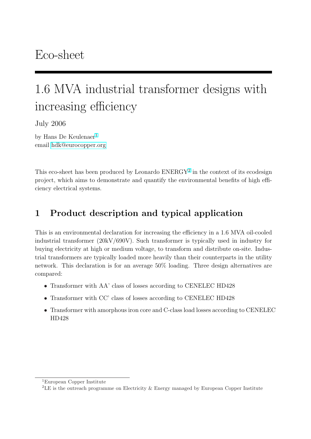# 1.6 MVA industrial transformer designs with increasing efficiency

July 2006

by Hans De Keulenaer<sup>1</sup> email hdk@eurocopper.org

This [eco-sheet has been pro](mailto:hdk@eurocopper.org)duced by Leonardo ENERGY<sup>2</sup> in the context of its ecodesign project, which aims to demonstrate and quantify the environmental benefits of high efficiency electrical systems.

## 1 Product description and typical application

This is an environmental declaration for increasing the efficiency in a 1.6 MVA oil-cooled industrial transformer (20kV/690V). Such transformer is typically used in industry for buying electricity at high or medium voltage, to transform and distribute on-site. Industrial transformers are typically loaded more heavily than their counterparts in the utility network. This declaration is for an average 50% loading. Three design alternatives are compared:

- Transformer with AA' class of losses according to CENELEC HD428
- Transformer with CC' class of losses according to CENELEC HD428
- Transformer with amorphous iron core and C-class load losses according to CENELEC HD428

<sup>1</sup>European Copper Institute

 ${}^{2}$ LE is the outreach programme on Electricity & Energy managed by European Copper Institute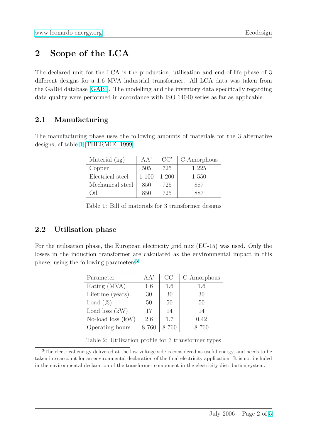## [2 Scope of the](http://www.leonardo-energy.org) LCA

The declared unit for the LCA is the production, utilisation and end-of-life phase of 3 different designs for a 1.6 MVA industrial transformer. All LCA data was taken from the GaBi4 database [GABI]. The modelling and the inventory data specifically regarding data quality were performed in accordance with ISO 14040 series as far as applicable.

#### 2.1 Manufact[uring](#page-4-0)

The manufacturing phase uses the following amounts of materials for the 3 alternative designs, cf table 1 [THERMIE, 1999]:

| Material (kg)    | AA'   | $CC^{\prime}$ | C-Amorphous |
|------------------|-------|---------------|-------------|
| Copper           | 505   | 725           | 1 225       |
| Electrical steel | 1 100 | 1 200         | 1 550       |
| Mechanical steel | 850   | 725           | 887         |
| );1              | 850   | 725           |             |

Table 1: Bill of materials for 3 transformer designs

#### 2.2 Utilisation phase

For the utilisation phase, the European electricity grid mix (EU-15) was used. Only the losses in the induction transformer are calculated as the environmental impact in this phase, using the following parameters<sup>3</sup>:

| Parameter           | A A' | CC' | C-Amorphous |
|---------------------|------|-----|-------------|
| Rating (MVA)        | 1.6  | 1.6 | 1.6         |
| Lifetime (years)    | 30   | 30  | 30          |
| Load $(\%)$         | 50   | 50  | 50          |
| Load loss $(kW)$    | 17   | 14  | 14          |
| No-load loss $(kW)$ | 2.6  | 1.7 | 0.42        |
| Operating hours     | 760  | 760 | 8.760       |

Table 2: Utilization profile for 3 transformer types

<sup>3</sup>The electrical energy delivered at the low voltage side is considered as useful energy, and needs to be taken into account for an environmental declaration of the final electricity application. It is not included in the environmental declaration of the transformer component in the electricity distribution system.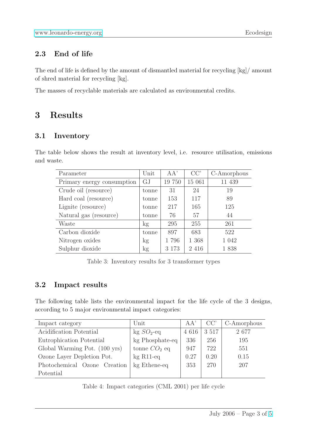### [2.3 End of life](http://www.leonardo-energy.org)

The end of life is defined by the amount of dismantled material for recycling [kg]/ amount of shred material for recycling [kg].

The masses of recyclable materials are calculated as environmental credits.

## 3 Results

### 3.1 Inventory

The table below shows the result at inventory level, i.e. resource utilisation, emissions and waste.

| Parameter                  | Unit  | AA'     | CC'     | C-Amorphous |
|----------------------------|-------|---------|---------|-------------|
| Primary energy consumption | GJ    | 19 750  | 15 061  | 11 439      |
| Crude oil (resource)       | tonne | 31      | 24      | 19          |
| Hard coal (resource)       | tonne | 153     | 117     | 89          |
| Lignite (resource)         | tonne | 217     | 165     | 125         |
| Natural gas (resource)     | tonne | 76      | 57      | 44          |
| Waste                      | kg    | 295     | 255     | 261         |
| Carbon dioxide             | tonne | 897     | 683     | 522         |
| Nitrogen oxides            | kg    | 1796    | 1 368   | 1 0 4 2     |
| Sulphur dioxide            | kg    | 3 1 7 3 | 2 4 1 6 | 1838        |

Table 3: Inventory results for 3 transformer types

#### 3.2 Impact results

The following table lists the environmental impact for the life cycle of the 3 designs, according to 5 major environmental impact categories:

| Impact category               | $\operatorname{Unit}$    | AA'     | CC'     | C-Amorphous |
|-------------------------------|--------------------------|---------|---------|-------------|
| Acidification Potential       | $kg SO2$ -eq             | 4 6 1 6 | 3 5 1 7 | 2677        |
| Eutrophication Potential      | kg Phosphate-eq          | 336     | 256     | 195         |
| Global Warming Pot. (100 yrs) | tonne $CO2$ eq           | 947     | 722     | 551         |
| Ozone Layer Depletion Pot.    | $kg$ R <sub>11</sub> -eq | 0.27    | 0.20    | 0.15        |
| Photochemical Ozone Creation  | kg Ethene-eq             | 353     | 270     | 207         |
| Potential                     |                          |         |         |             |

Table 4: Impact categories (CML 2001) per life cycle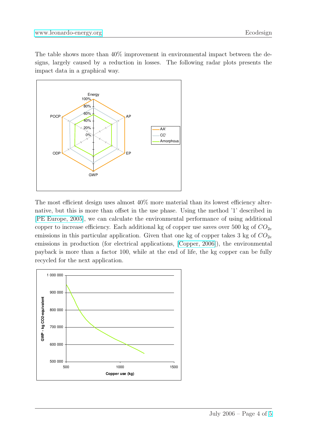The table shows more than 40% improvement in environmental impact between the de[signs, largely caused by](http://www.leonardo-energy.org) a reduction in losses. The following radar plots presents the impact data in a graphical way.



The most efficient design uses almost 40% more material than its lowest efficiency alternative, but this is more than offset in the use phase. Using the method '1' described in [PE Europe, 2005], we can calculate the environmental performance of using additional copper to increase efficiency. Each additional kg of copper use saves over 500 kg of  $CO_{2e}$ emissions in this particular application. Given that one kg of copper takes 3 kg of  $CO_{2e}$ [emissions in prod](#page-4-0)uction (for electrical applications, [Copper, 2006]), the environmental payback is more than a factor 100, while at the end of life, the kg copper can be fully recycled for the next application.